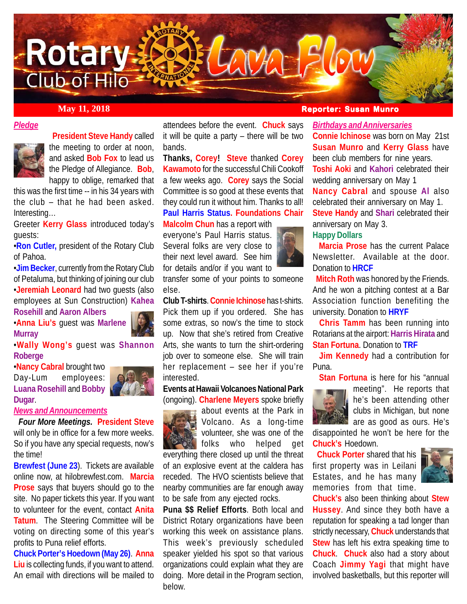

### *Pledge*



 **President Steve Handy** called the meeting to order at noon, and asked **Bob Fox** to lead us the Pledge of Allegiance. **Bob**, happy to oblige, remarked that

this was the first time -- in his 34 years with the club – that he had been asked. Interesting…

Greeter **Kerry Glass** introduced today's guests:

•**Ron Cutler,** president of the Rotary Club of Pahoa.

•**Jim Becker**, currently from the Rotary Club of Petaluma, but thinking of joining our club •**Jeremiah Leonard** had two guests (also employees at Sun Construction) **Kahea Rosehill** and **Aaron Albers**

•**Anna Liu's** guest was **Marlene Murray**

•**Wally Wong's** guest was **Shannon Roberge**

•**Nancy Cabral** brought two Day-Lum employees: **Luana Rosehill** and **Bobby Dugar**.

#### *News and Announcements*

 *Four More Meetings.* **President Steve** will only be in office for a few more weeks. So if you have any special requests, now's the time!

**Brewfest (June 23**). Tickets are available online now, at hilobrewfest.com. **Marcia Prose** says that buyers should go to the site. No paper tickets this year. If you want to volunteer for the event, contact **Anita Tatum**. The Steering Committee will be voting on directing some of this year's profits to Puna relief efforts.

**Chuck Porter's Hoedown (May 26)**. **Anna Liu** is collecting funds, if you want to attend. An email with directions will be mailed to

attendees before the event. **Chuck** says it will be quite a party – there will be two bands.

**Thanks, Corey! Steve** thanked **Corey Kawamoto** for the successful Chili Cookoff a few weeks ago. **Corey** says the Social Committee is so good at these events that they could run it without him. Thanks to all! **Paul Harris Status. Foundations Chair**

#### **Malcolm Chun** has a report with

everyone's Paul Harris status. Several folks are very close to their next level award. See him for details and/or if you want to



**Club T-shirts**. **Connie Ichinose** has t-shirts. Pick them up if you ordered. She has some extras, so now's the time to stock up. Now that she's retired from Creative Arts, she wants to turn the shirt-ordering job over to someone else. She will train her replacement – see her if you're interested.

**Events at Hawaii Volcanoes National Park** (ongoing). **Charlene Meyers** spoke briefly



about events at the Park in Volcano. As a long-time volunteer, she was one of the folks who helped get

everything there closed up until the threat of an explosive event at the caldera has receded. The HVO scientists believe that nearby communities are far enough away to be safe from any ejected rocks.

**Puna \$\$ Relief Efforts**. Both local and District Rotary organizations have been working this week on assistance plans. This week's previously scheduled speaker yielded his spot so that various organizations could explain what they are doing. More detail in the Program section, below.

# **May 11, 2018 Reporter: Susan Munro**

#### *Birthdays and Anniversaries*

**Connie Ichinose** was born on May 21st **Susan Munro** and **Kerry Glass** have been club members for nine years. **Toshi Aoki** and **Kahori** celebrated their wedding anniversary on May 1

**Nancy Cabral** and spouse **Al** also celebrated their anniversary on May 1. **Steve Handy** and **Shari** celebrated their anniversary on May 3.

## **Happy Dollars**

 **Marcia Prose** has the current Palace Newsletter. Available at the door. Donation to **HRCF**

 **Mitch Roth** was honored by the Friends. And he won a pitching contest at a Bar Association function benefiting the university. Donation to **HRYF**

 **Chris Tamm** has been running into Rotarians at the airport: **Harris Hirata** and **Stan Fortuna**. Donation to **TRF**

 **Jim Kennedy** had a contribution for Puna.

**Stan Fortuna** is here for his "annual



meeting". He reports that he's been attending other clubs in Michigan, but none are as good as ours. He's

disappointed he won't be here for the **Chuck's** Hoedown.

 **Chuck Porter** shared that his first property was in Leilani Estates, and he has many memories from that time.



**Chuck's** also been thinking about **Stew Hussey**. And since they both have a reputation for speaking a tad longer than strictly necessary, **Chuck** understands that **Stew** has left his extra speaking time to **Chuck**. **Chuck** also had a story about Coach **Jimmy Yagi** that might have involved basketballs, but this reporter will

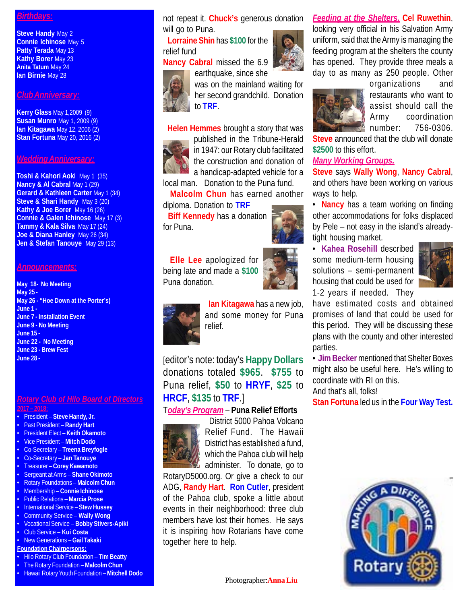#### *Birthdays:*

**Steve Handy May 2 Connie Ichinose** May 5 **Patty Terada** May 13 **Kathy Borer** May 23 **Anita Tatum** May 24 **Ian Birnie** May 28

#### *Club Anniversary:*

**Kerry Glass** May 1,2009 (9) **Susan Munro** May 1, 2009 (9) **Ian Kitagawa** May 12, 2006 (2) **Stan Fortuna** May 20, 2016 (2)

#### *Wedding Anniversary:*

**Toshi & Kahori Aoki** May 1 (35) **Nancy & Al Cabral May 1 (29) Gerard & Kathleen Carter** May 1 (34) **Steve & Shari Handy** May 3 (20) **Kathy & Joe Borer** May 16 (26) **Connie & Galen Ichinose** May 17 (3) **Tammy & Kala Silva** May 17 (24) **Joe & Diana Hanley** May 26 (34) **Jen & Stefan Tanouye** May 29 (13)

#### *Announcements:*

**May 18- No Meeting May 25 - May 26 - "Hoe Down at the Porter's) June 1 - June 7 - Installation Event June 9 - No Meeting June 15 - June 22 - No Meeting June 23 - Brew Fest June 28 -**

#### *Rotary Club of Hilo Board of Directors* **2017 – 2018:**

- President **Steve Handy, Jr.**
- Past President **Randy Hart**
- President Elect **Keith Okamoto**
- Vice President **Mitch Dodo**
- Co-Secretary **Treena Breyfogle** • Co-Secretary – **Jan Tanouye**
- Treasurer **Corey Kawamoto**
- Sergeant at Arms **Shane Okimoto**
- Rotary Foundations **Malcolm Chun**
- Membership **Connie Ichinose**
- Public Relations **Marcia Prose**
- International Service **Stew Hussey**
- Community Service **Wally Wong**
- Vocational Service **Bobby Stivers-Apiki**
- Club Service **Kui Costa**
- New Generations **Gail Takaki Foundation Chairpersons:**
- 
- Hilo Rotary Club Foundation **Tim Beatty**
- The Rotary Foundation **Malcolm Chun**
- Hawaii Rotary Youth Foundation **Mitchell Dodo**

not repeat it. **Chuck's** generous donation will go to Puna.

 **Lorraine Shin** has **\$100** for the relief fund

**Nancy Cabral** missed the 6.9



earthquake, since she was on the mainland waiting for her second grandchild. Donation to **TRF**.

**Helen Hemmes** brought a story that was



published in the Tribune-Herald in 1947: our Rotary club facilitated the construction and donation of a handicap-adapted vehicle for a local man. Donation to the Puna fund.

 **Malcolm Chun** has earned another diploma. Donation to **TRF**

 **Biff Kennedy** has a donation for Puna.

 **Elle Lee** apologized for being late and made a **\$100** Puna donation.





 **Ian Kitagawa** has a new job, and some money for Puna relief.

[editor's note: today's **Happy Dollars** donations totaled **\$965**. **\$755** to Puna relief, **\$50** to **HRYF**, **\$25** to **HRCF**, **\$135** to **TRF**.]

#### T*oday's Program* – **Puna Relief Efforts**



 District 5000 Pahoa Volcano Relief Fund. The Hawaii District has established a fund, which the Pahoa club will help administer. To donate, go to

RotaryD5000.org. Or give a check to our ADG, **Randy Hart**. **Ron Cutler**, president of the Pahoa club, spoke a little about events in their neighborhood: three club members have lost their homes. He says it is inspiring how Rotarians have come together here to help.



### *Feeding at the Shelters.* **Cel Ruwethin**,

looking very official in his Salvation Army uniform, said that the Army is managing the feeding program at the shelters the county has opened. They provide three meals a day to as many as 250 people. Other



organizations and restaurants who want to assist should call the Army coordination number: 756-0306.

**Steve** announced that the club will donate **\$2500** to this effort.

#### *Many Working Groups.*

**Steve** says **Wally Wong**, **Nancy Cabral**, and others have been working on various ways to help.

• **Nancy** has a team working on finding other accommodations for folks displaced by Pele – not easy in the island's alreadytight housing market.

• **Kahea Rosehill** described some medium-term housing solutions – semi-permanent housing that could be used for 1-2 years if needed. They



have estimated costs and obtained promises of land that could be used for this period. They will be discussing these plans with the county and other interested parties.

• **Jim Becker** mentioned that Shelter Boxes might also be useful here. He's willing to coordinate with RI on this.

And that's all, folks! **Stan Fortuna** led us in the **Four Way Test.**